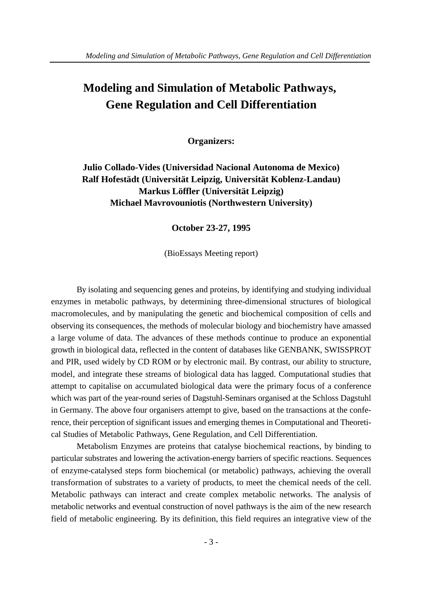# **Modeling and Simulation of Metabolic Pathways, Gene Regulation and Cell Differentiation**

**Organizers:**

**Julio Collado-Vides (Universidad Nacional Autonoma de Mexico) Ralf Hofestädt (Universität Leipzig, Universität Koblenz-Landau) Markus Löffler (Universität Leipzig) Michael Mavrovouniotis (Northwestern University)**

**October 23-27, 1995**

(BioEssays Meeting report)

By isolating and sequencing genes and proteins, by identifying and studying individual enzymes in metabolic pathways, by determining three-dimensional structures of biological macromolecules, and by manipulating the genetic and biochemical composition of cells and observing its consequences, the methods of molecular biology and biochemistry have amassed a large volume of data. The advances of these methods continue to produce an exponential growth in biological data, reflected in the content of databases like GENBANK, SWISSPROT and PIR, used widely by CD ROM or by electronic mail. By contrast, our ability to structure, model, and integrate these streams of biological data has lagged. Computational studies that attempt to capitalise on accumulated biological data were the primary focus of a conference which was part of the year-round series of Dagstuhl-Seminars organised at the Schloss Dagstuhl in Germany. The above four organisers attempt to give, based on the transactions at the conference, their perception of significant issues and emerging themes in Computational and Theoretical Studies of Metabolic Pathways, Gene Regulation, and Cell Differentiation.

Metabolism Enzymes are proteins that catalyse biochemical reactions, by binding to particular substrates and lowering the activation-energy barriers of specific reactions. Sequences of enzyme-catalysed steps form biochemical (or metabolic) pathways, achieving the overall transformation of substrates to a variety of products, to meet the chemical needs of the cell. Metabolic pathways can interact and create complex metabolic networks. The analysis of metabolic networks and eventual construction of novel pathways is the aim of the new research field of metabolic engineering. By its definition, this field requires an integrative view of the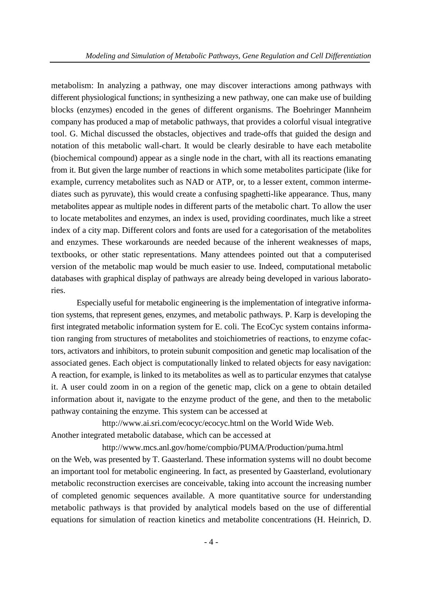metabolism: In analyzing a pathway, one may discover interactions among pathways with different physiological functions; in synthesizing a new pathway, one can make use of building blocks (enzymes) encoded in the genes of different organisms. The Boehringer Mannheim company has produced a map of metabolic pathways, that provides a colorful visual integrative tool. G. Michal discussed the obstacles, objectives and trade-offs that guided the design and notation of this metabolic wall-chart. It would be clearly desirable to have each metabolite (biochemical compound) appear as a single node in the chart, with all its reactions emanating from it. But given the large number of reactions in which some metabolites participate (like for example, currency metabolites such as NAD or ATP, or, to a lesser extent, common intermediates such as pyruvate), this would create a confusing spaghetti-like appearance. Thus, many metabolites appear as multiple nodes in different parts of the metabolic chart. To allow the user to locate metabolites and enzymes, an index is used, providing coordinates, much like a street index of a city map. Different colors and fonts are used for a categorisation of the metabolites and enzymes. These workarounds are needed because of the inherent weaknesses of maps, textbooks, or other static representations. Many attendees pointed out that a computerised version of the metabolic map would be much easier to use. Indeed, computational metabolic databases with graphical display of pathways are already being developed in various laboratories.

Especially useful for metabolic engineering is the implementation of integrative information systems, that represent genes, enzymes, and metabolic pathways. P. Karp is developing the first integrated metabolic information system for E. coli. The EcoCyc system contains information ranging from structures of metabolites and stoichiometries of reactions, to enzyme cofactors, activators and inhibitors, to protein subunit composition and genetic map localisation of the associated genes. Each object is computationally linked to related objects for easy navigation: A reaction, for example, is linked to its metabolites as well as to particular enzymes that catalyse it. A user could zoom in on a region of the genetic map, click on a gene to obtain detailed information about it, navigate to the enzyme product of the gene, and then to the metabolic pathway containing the enzyme. This system can be accessed at

http://www.ai.sri.com/ecocyc/ecocyc.html on the World Wide Web. Another integrated metabolic database, which can be accessed at

http://www.mcs.anl.gov/home/compbio/PUMA/Production/puma.html on the Web, was presented by T. Gaasterland. These information systems will no doubt become an important tool for metabolic engineering. In fact, as presented by Gaasterland, evolutionary metabolic reconstruction exercises are conceivable, taking into account the increasing number of completed genomic sequences available. A more quantitative source for understanding metabolic pathways is that provided by analytical models based on the use of differential equations for simulation of reaction kinetics and metabolite concentrations (H. Heinrich, D.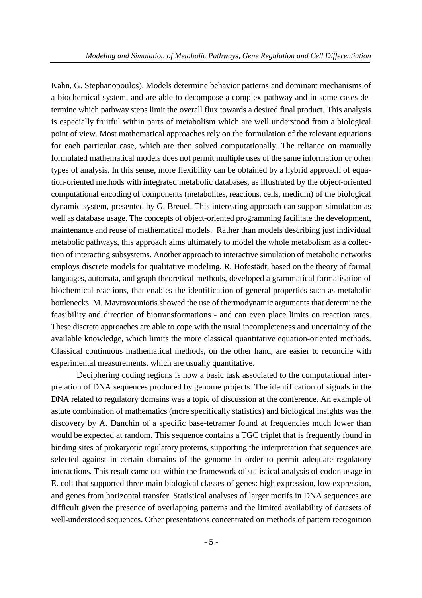Kahn, G. Stephanopoulos). Models determine behavior patterns and dominant mechanisms of a biochemical system, and are able to decompose a complex pathway and in some cases determine which pathway steps limit the overall flux towards a desired final product. This analysis is especially fruitful within parts of metabolism which are well understood from a biological point of view. Most mathematical approaches rely on the formulation of the relevant equations for each particular case, which are then solved computationally. The reliance on manually formulated mathematical models does not permit multiple uses of the same information or other types of analysis. In this sense, more flexibility can be obtained by a hybrid approach of equation-oriented methods with integrated metabolic databases, as illustrated by the object-oriented computational encoding of components (metabolites, reactions, cells, medium) of the biological dynamic system, presented by G. Breuel. This interesting approach can support simulation as well as database usage. The concepts of object-oriented programming facilitate the development, maintenance and reuse of mathematical models. Rather than models describing just individual metabolic pathways, this approach aims ultimately to model the whole metabolism as a collection of interacting subsystems. Another approach to interactive simulation of metabolic networks employs discrete models for qualitative modeling. R. Hofestädt, based on the theory of formal languages, automata, and graph theoretical methods, developed a grammatical formalisation of biochemical reactions, that enables the identification of general properties such as metabolic bottlenecks. M. Mavrovouniotis showed the use of thermodynamic arguments that determine the feasibility and direction of biotransformations - and can even place limits on reaction rates. These discrete approaches are able to cope with the usual incompleteness and uncertainty of the available knowledge, which limits the more classical quantitative equation-oriented methods. Classical continuous mathematical methods, on the other hand, are easier to reconcile with experimental measurements, which are usually quantitative.

Deciphering coding regions is now a basic task associated to the computational interpretation of DNA sequences produced by genome projects. The identification of signals in the DNA related to regulatory domains was a topic of discussion at the conference. An example of astute combination of mathematics (more specifically statistics) and biological insights was the discovery by A. Danchin of a specific base-tetramer found at frequencies much lower than would be expected at random. This sequence contains a TGC triplet that is frequently found in binding sites of prokaryotic regulatory proteins, supporting the interpretation that sequences are selected against in certain domains of the genome in order to permit adequate regulatory interactions. This result came out within the framework of statistical analysis of codon usage in E. coli that supported three main biological classes of genes: high expression, low expression, and genes from horizontal transfer. Statistical analyses of larger motifs in DNA sequences are difficult given the presence of overlapping patterns and the limited availability of datasets of well-understood sequences. Other presentations concentrated on methods of pattern recognition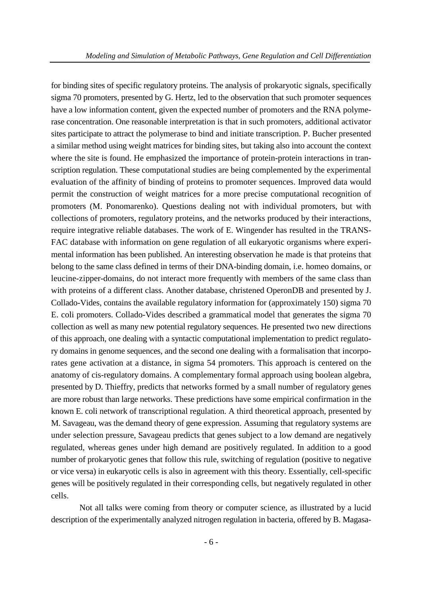for binding sites of specific regulatory proteins. The analysis of prokaryotic signals, specifically sigma 70 promoters, presented by G. Hertz, led to the observation that such promoter sequences have a low information content, given the expected number of promoters and the RNA polymerase concentration. One reasonable interpretation is that in such promoters, additional activator sites participate to attract the polymerase to bind and initiate transcription. P. Bucher presented a similar method using weight matrices for binding sites, but taking also into account the context where the site is found. He emphasized the importance of protein-protein interactions in transcription regulation. These computational studies are being complemented by the experimental evaluation of the affinity of binding of proteins to promoter sequences. Improved data would permit the construction of weight matrices for a more precise computational recognition of promoters (M. Ponomarenko). Questions dealing not with individual promoters, but with collections of promoters, regulatory proteins, and the networks produced by their interactions, require integrative reliable databases. The work of E. Wingender has resulted in the TRANS-FAC database with information on gene regulation of all eukaryotic organisms where experimental information has been published. An interesting observation he made is that proteins that belong to the same class defined in terms of their DNA-binding domain, i.e. homeo domains, or leucine-zipper-domains, do not interact more frequently with members of the same class than with proteins of a different class. Another database, christened OperonDB and presented by J. Collado-Vides, contains the available regulatory information for (approximately 150) sigma 70 E. coli promoters. Collado-Vides described a grammatical model that generates the sigma 70 collection as well as many new potential regulatory sequences. He presented two new directions of this approach, one dealing with a syntactic computational implementation to predict regulatory domains in genome sequences, and the second one dealing with a formalisation that incorporates gene activation at a distance, in sigma 54 promoters. This approach is centered on the anatomy of cis-regulatory domains. A complementary formal approach using boolean algebra, presented by D. Thieffry, predicts that networks formed by a small number of regulatory genes are more robust than large networks. These predictions have some empirical confirmation in the known E. coli network of transcriptional regulation. A third theoretical approach, presented by M. Savageau, was the demand theory of gene expression. Assuming that regulatory systems are under selection pressure, Savageau predicts that genes subject to a low demand are negatively regulated, whereas genes under high demand are positively regulated. In addition to a good number of prokaryotic genes that follow this rule, switching of regulation (positive to negative or vice versa) in eukaryotic cells is also in agreement with this theory. Essentially, cell-specific genes will be positively regulated in their corresponding cells, but negatively regulated in other cells.

Not all talks were coming from theory or computer science, as illustrated by a lucid description of the experimentally analyzed nitrogen regulation in bacteria, offered by B. Magasa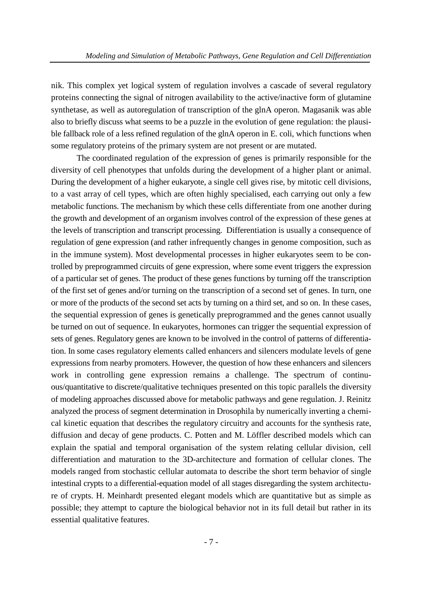nik. This complex yet logical system of regulation involves a cascade of several regulatory proteins connecting the signal of nitrogen availability to the active/inactive form of glutamine synthetase, as well as autoregulation of transcription of the glnA operon. Magasanik was able also to briefly discuss what seems to be a puzzle in the evolution of gene regulation: the plausible fallback role of a less refined regulation of the glnA operon in E. coli, which functions when some regulatory proteins of the primary system are not present or are mutated.

The coordinated regulation of the expression of genes is primarily responsible for the diversity of cell phenotypes that unfolds during the development of a higher plant or animal. During the development of a higher eukaryote, a single cell gives rise, by mitotic cell divisions, to a vast array of cell types, which are often highly specialised, each carrying out only a few metabolic functions. The mechanism by which these cells differentiate from one another during the growth and development of an organism involves control of the expression of these genes at the levels of transcription and transcript processing. Differentiation is usually a consequence of regulation of gene expression (and rather infrequently changes in genome composition, such as in the immune system). Most developmental processes in higher eukaryotes seem to be controlled by preprogrammed circuits of gene expression, where some event triggers the expression of a particular set of genes. The product of these genes functions by turning off the transcription of the first set of genes and/or turning on the transcription of a second set of genes. In turn, one or more of the products of the second set acts by turning on a third set, and so on. In these cases, the sequential expression of genes is genetically preprogrammed and the genes cannot usually be turned on out of sequence. In eukaryotes, hormones can trigger the sequential expression of sets of genes. Regulatory genes are known to be involved in the control of patterns of differentiation. In some cases regulatory elements called enhancers and silencers modulate levels of gene expressions from nearby promoters. However, the question of how these enhancers and silencers work in controlling gene expression remains a challenge. The spectrum of continuous/quantitative to discrete/qualitative techniques presented on this topic parallels the diversity of modeling approaches discussed above for metabolic pathways and gene regulation. J. Reinitz analyzed the process of segment determination in Drosophila by numerically inverting a chemical kinetic equation that describes the regulatory circuitry and accounts for the synthesis rate, diffusion and decay of gene products. C. Potten and M. Löffler described models which can explain the spatial and temporal organisation of the system relating cellular division, cell differentiation and maturation to the 3D-architecture and formation of cellular clones. The models ranged from stochastic cellular automata to describe the short term behavior of single intestinal crypts to a differential-equation model of all stages disregarding the system architecture of crypts. H. Meinhardt presented elegant models which are quantitative but as simple as possible; they attempt to capture the biological behavior not in its full detail but rather in its essential qualitative features.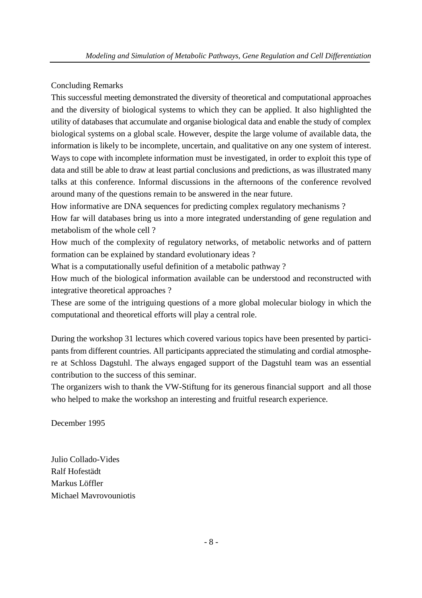Concluding Remarks

This successful meeting demonstrated the diversity of theoretical and computational approaches and the diversity of biological systems to which they can be applied. It also highlighted the utility of databases that accumulate and organise biological data and enable the study of complex biological systems on a global scale. However, despite the large volume of available data, the information is likely to be incomplete, uncertain, and qualitative on any one system of interest. Ways to cope with incomplete information must be investigated, in order to exploit this type of data and still be able to draw at least partial conclusions and predictions, as was illustrated many talks at this conference. Informal discussions in the afternoons of the conference revolved around many of the questions remain to be answered in the near future.

How informative are DNA sequences for predicting complex regulatory mechanisms ?

How far will databases bring us into a more integrated understanding of gene regulation and metabolism of the whole cell ?

How much of the complexity of regulatory networks, of metabolic networks and of pattern formation can be explained by standard evolutionary ideas ?

What is a computationally useful definition of a metabolic pathway ?

How much of the biological information available can be understood and reconstructed with integrative theoretical approaches ?

These are some of the intriguing questions of a more global molecular biology in which the computational and theoretical efforts will play a central role.

During the workshop 31 lectures which covered various topics have been presented by participants from different countries. All participants appreciated the stimulating and cordial atmosphere at Schloss Dagstuhl. The always engaged support of the Dagstuhl team was an essential contribution to the success of this seminar.

The organizers wish to thank the VW-Stiftung for its generous financial support and all those who helped to make the workshop an interesting and fruitful research experience.

December 1995

Julio Collado-Vides Ralf Hofestädt Markus Löffler Michael Mavrovouniotis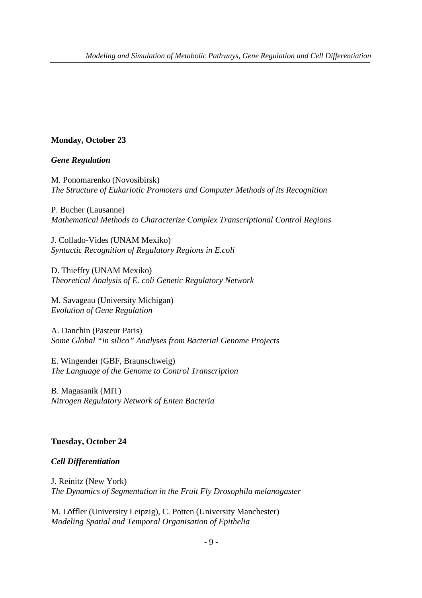#### **Monday, October 23**

#### *Gene Regulation*

M. Ponomarenko (Novosibirsk) *The Structure of Eukariotic Promoters and Computer Methods of its Recognition* 

P. Bucher (Lausanne) *Mathematical Methods to Characterize Complex Transcriptional Control Regions*

J. Collado-Vides (UNAM Mexiko) *Syntactic Recognition of Regulatory Regions in E.coli*

D. Thieffry (UNAM Mexiko) *Theoretical Analysis of E. coli Genetic Regulatory Network*

M. Savageau (University Michigan) *Evolution of Gene Regulation*

A. Danchin (Pasteur Paris) *Some Global "in silico" Analyses from Bacterial Genome Projects*

E. Wingender (GBF, Braunschweig) *The Language of the Genome to Control Transcription*

B. Magasanik (MIT) *Nitrogen Regulatory Network of Enten Bacteria*

#### **Tuesday, October 24**

*Cell Differentiation* 

J. Reinitz (New York) *The Dynamics of Segmentation in the Fruit Fly Drosophila melanogaster*

M. Löffler (University Leipzig), C. Potten (University Manchester) *Modeling Spatial and Temporal Organisation of Epithelia*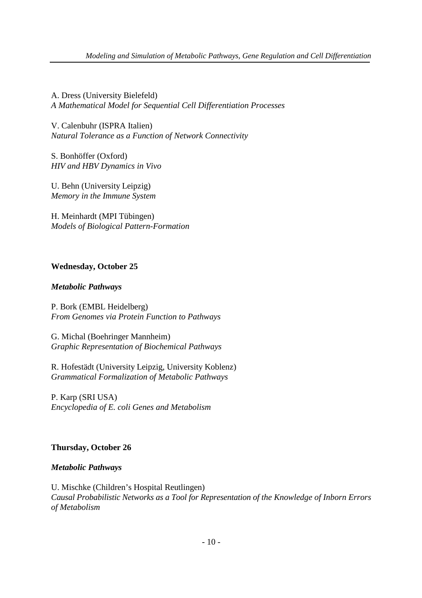A. Dress (University Bielefeld) *A Mathematical Model for Sequential Cell Differentiation Processes*

V. Calenbuhr (ISPRA Italien) *Natural Tolerance as a Function of Network Connectivity*

S. Bonhöffer (Oxford) *HIV and HBV Dynamics in Vivo*

U. Behn (University Leipzig) *Memory in the Immune System*

H. Meinhardt (MPI Tübingen) *Models of Biological Pattern-Formation*

#### **Wednesday, October 25**

#### *Metabolic Pathways*

P. Bork (EMBL Heidelberg) *From Genomes via Protein Function to Pathways*

G. Michal (Boehringer Mannheim) *Graphic Representation of Biochemical Pathways*

R. Hofestädt (University Leipzig, University Koblenz) *Grammatical Formalization of Metabolic Pathways*

P. Karp (SRI USA) *Encyclopedia of E. coli Genes and Metabolism*

#### **Thursday, October 26**

#### *Metabolic Pathways*

U. Mischke (Children's Hospital Reutlingen) *Causal Probabilistic Networks as a Tool for Representation of the Knowledge of Inborn Errors of Metabolism*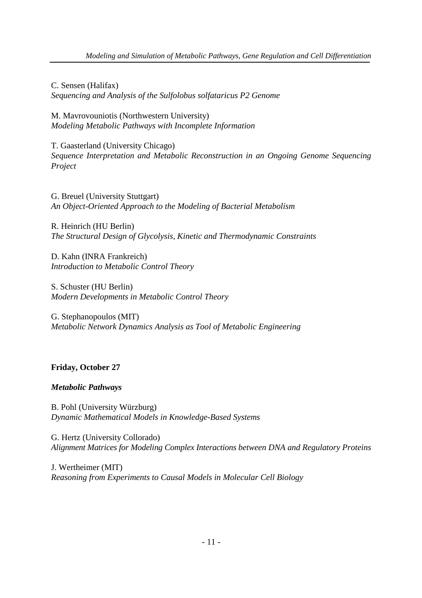C. Sensen (Halifax) *Sequencing and Analysis of the Sulfolobus solfataricus P2 Genome*

M. Mavrovouniotis (Northwestern University) *Modeling Metabolic Pathways with Incomplete Information*

T. Gaasterland (University Chicago) *Sequence Interpretation and Metabolic Reconstruction in an Ongoing Genome Sequencing Project*

G. Breuel (University Stuttgart) *An Object-Oriented Approach to the Modeling of Bacterial Metabolism*

R. Heinrich (HU Berlin) *The Structural Design of Glycolysis, Kinetic and Thermodynamic Constraints*

D. Kahn (INRA Frankreich) *Introduction to Metabolic Control Theory*

S. Schuster (HU Berlin) *Modern Developments in Metabolic Control Theory*

G. Stephanopoulos (MIT) *Metabolic Network Dynamics Analysis as Tool of Metabolic Engineering*

#### **Friday, October 27**

#### *Metabolic Pathways*

B. Pohl (University Würzburg) *Dynamic Mathematical Models in Knowledge-Based Systems*

G. Hertz (University Collorado) *Alignment Matrices for Modeling Complex Interactions between DNA and Regulatory Proteins*

J. Wertheimer (MIT) *Reasoning from Experiments to Causal Models in Molecular Cell Biology*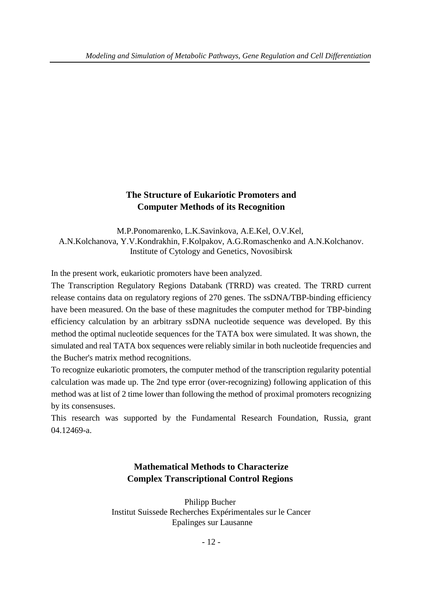### **The Structure of Eukariotic Promoters and Computer Methods of its Recognition**

M.P.Ponomarenko, L.K.Savinkova, A.E.Kel, O.V.Kel, A.N.Kolchanova, Y.V.Kondrakhin, F.Kolpakov, A.G.Romaschenko and A.N.Kolchanov. Institute of Cytology and Genetics, Novosibirsk

In the present work, eukariotic promoters have been analyzed.

The Transcription Regulatory Regions Databank (TRRD) was created. The TRRD current release contains data on regulatory regions of 270 genes. The ssDNA/TBP-binding efficiency have been measured. On the base of these magnitudes the computer method for TBP-binding efficiency calculation by an arbitrary ssDNA nucleotide sequence was developed. By this method the optimal nucleotide sequences for the TATA box were simulated. It was shown, the simulated and real TATA box sequences were reliably similar in both nucleotide frequencies and the Bucher's matrix method recognitions.

To recognize eukariotic promoters, the computer method of the transcription regularity potential calculation was made up. The 2nd type error (over-recognizing) following application of this method was at list of 2 time lower than following the method of proximal promoters recognizing by its consensuses.

This research was supported by the Fundamental Research Foundation, Russia, grant 04.12469-a.

# **Mathematical Methods to Characterize Complex Transcriptional Control Regions**

Philipp Bucher Institut Suissede Recherches Expérimentales sur le Cancer Epalinges sur Lausanne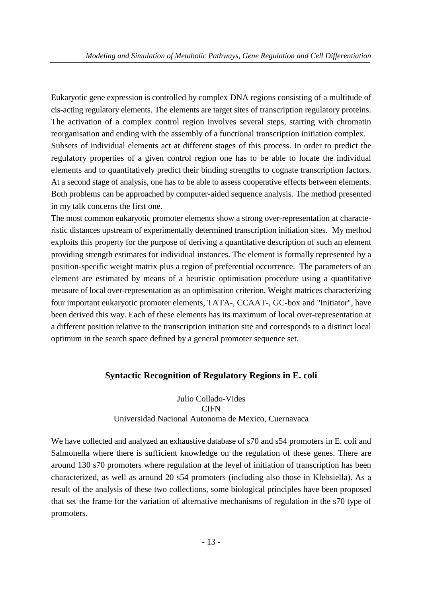Eukaryotic gene expression is controlled by complex DNA regions consisting of a multitude of cis-acting regulatory elements. The elements are target sites of transcription regulatory proteins. The activation of a complex control region involves several steps, starting with chromatin reorganisation and ending with the assembly of a functional transcription initiation complex. Subsets of individual elements act at different stages of this process. In order to predict the regulatory properties of a given control region one has to be able to locate the individual elements and to quantitatively predict their binding strengths to cognate transcription factors. At a second stage of analysis, one has to be able to assess cooperative effects between elements. Both problems can be approached by computer-aided sequence analysis. The method presented in my talk concerns the first one.

The most common eukaryotic promoter elements show a strong over-representation at characteristic distances upstream of experimentally determined transcription initiation sites. My method exploits this property for the purpose of deriving a quantitative description of such an element providing strength estimates for individual instances. The element is formally represented by a position-specific weight matrix plus a region of preferential occurrence. The parameters of an element are estimated by means of a heuristic optimisation procedure using a quantitative measure of local over-representation as an optimisation criterion. Weight matrices characterizing four important eukaryotic promoter elements, TATA-, CCAAT-, GC-box and "Initiator", have been derived this way. Each of these elements has its maximum of local over-representation at a different position relative to the transcription initiation site and corresponds to a distinct local optimum in the search space defined by a general promoter sequence set.

#### **Syntactic Recognition of Regulatory Regions in E. coli**

Julio Collado-Vides **CIFN** Universidad Nacional Autonoma de Mexico, Cuernavaca

We have collected and analyzed an exhaustive database of s70 and s54 promoters in E. coli and Salmonella where there is sufficient knowledge on the regulation of these genes. There are around 130 s70 promoters where regulation at the level of initiation of transcription has been characterized, as well as around 20 s54 promoters (including also those in Klebsiella). As a result of the analysis of these two collections, some biological principles have been proposed that set the frame for the variation of alternative mechanisms of regulation in the s70 type of promoters.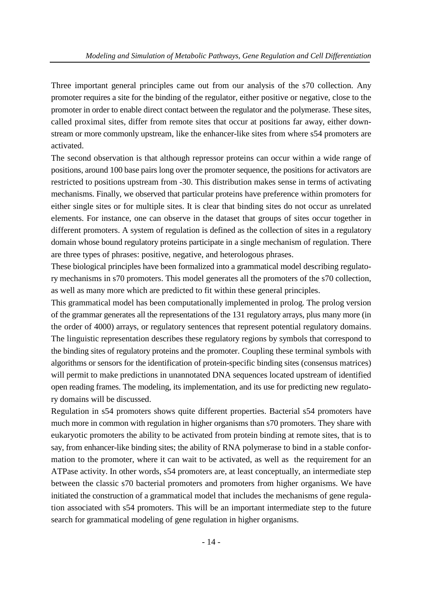Three important general principles came out from our analysis of the s70 collection. Any promoter requires a site for the binding of the regulator, either positive or negative, close to the promoter in order to enable direct contact between the regulator and the polymerase. These sites, called proximal sites, differ from remote sites that occur at positions far away, either downstream or more commonly upstream, like the enhancer-like sites from where s54 promoters are activated.

The second observation is that although repressor proteins can occur within a wide range of positions, around 100 base pairs long over the promoter sequence, the positions for activators are restricted to positions upstream from -30. This distribution makes sense in terms of activating mechanisms. Finally, we observed that particular proteins have preference within promoters for either single sites or for multiple sites. It is clear that binding sites do not occur as unrelated elements. For instance, one can observe in the dataset that groups of sites occur together in different promoters. A system of regulation is defined as the collection of sites in a regulatory domain whose bound regulatory proteins participate in a single mechanism of regulation. There are three types of phrases: positive, negative, and heterologous phrases.

These biological principles have been formalized into a grammatical model describing regulatory mechanisms in s70 promoters. This model generates all the promoters of the s70 collection, as well as many more which are predicted to fit within these general principles.

This grammatical model has been computationally implemented in prolog. The prolog version of the grammar generates all the representations of the 131 regulatory arrays, plus many more (in the order of 4000) arrays, or regulatory sentences that represent potential regulatory domains. The linguistic representation describes these regulatory regions by symbols that correspond to the binding sites of regulatory proteins and the promoter. Coupling these terminal symbols with algorithms or sensors for the identification of protein-specific binding sites (consensus matrices) will permit to make predictions in unannotated DNA sequences located upstream of identified open reading frames. The modeling, its implementation, and its use for predicting new regulatory domains will be discussed.

Regulation in s54 promoters shows quite different properties. Bacterial s54 promoters have much more in common with regulation in higher organisms than s70 promoters. They share with eukaryotic promoters the ability to be activated from protein binding at remote sites, that is to say, from enhancer-like binding sites; the ability of RNA polymerase to bind in a stable conformation to the promoter, where it can wait to be activated, as well as the requirement for an ATPase activity. In other words, s54 promoters are, at least conceptually, an intermediate step between the classic s70 bacterial promoters and promoters from higher organisms. We have initiated the construction of a grammatical model that includes the mechanisms of gene regulation associated with s54 promoters. This will be an important intermediate step to the future search for grammatical modeling of gene regulation in higher organisms.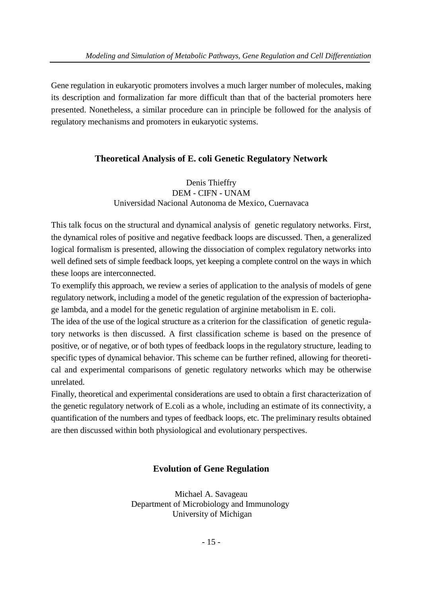Gene regulation in eukaryotic promoters involves a much larger number of molecules, making its description and formalization far more difficult than that of the bacterial promoters here presented. Nonetheless, a similar procedure can in principle be followed for the analysis of regulatory mechanisms and promoters in eukaryotic systems.

# **Theoretical Analysis of E. coli Genetic Regulatory Network**

Denis Thieffry DEM - CIFN - UNAM Universidad Nacional Autonoma de Mexico, Cuernavaca

This talk focus on the structural and dynamical analysis of genetic regulatory networks. First, the dynamical roles of positive and negative feedback loops are discussed. Then, a generalized logical formalism is presented, allowing the dissociation of complex regulatory networks into well defined sets of simple feedback loops, yet keeping a complete control on the ways in which these loops are interconnected.

To exemplify this approach, we review a series of application to the analysis of models of gene regulatory network, including a model of the genetic regulation of the expression of bacteriophage lambda, and a model for the genetic regulation of arginine metabolism in E. coli.

The idea of the use of the logical structure as a criterion for the classification of genetic regulatory networks is then discussed. A first classification scheme is based on the presence of positive, or of negative, or of both types of feedback loops in the regulatory structure, leading to specific types of dynamical behavior. This scheme can be further refined, allowing for theoretical and experimental comparisons of genetic regulatory networks which may be otherwise unrelated.

Finally, theoretical and experimental considerations are used to obtain a first characterization of the genetic regulatory network of E.coli as a whole, including an estimate of its connectivity, a quantification of the numbers and types of feedback loops, etc. The preliminary results obtained are then discussed within both physiological and evolutionary perspectives.

# **Evolution of Gene Regulation**

Michael A. Savageau Department of Microbiology and Immunology University of Michigan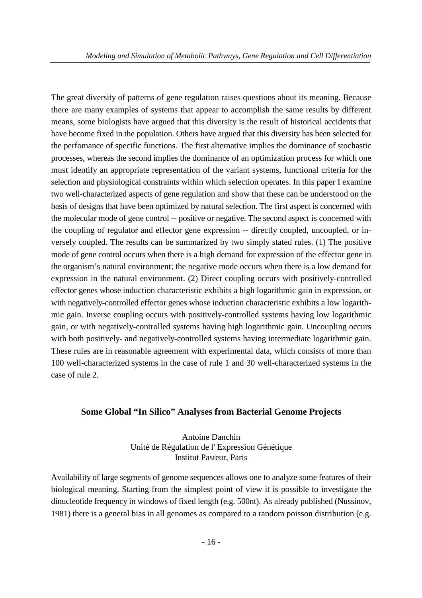The great diversity of patterns of gene regulation raises questions about its meaning. Because there are many examples of systems that appear to accomplish the same results by different means, some biologists have argued that this diversity is the result of historical accidents that have become fixed in the population. Others have argued that this diversity has been selected for the perfomance of specific functions. The first alternative implies the dominance of stochastic processes, whereas the second implies the dominance of an optimization process for which one must identify an appropriate representation of the variant systems, functional criteria for the selection and physiological constraints within which selection operates. In this paper I examine two well-characterized aspects of gene regulation and show that these can be understood on the basis of designs that have been optimized by natural selection. The first aspect is concerned with the molecular mode of gene control -- positive or negative. The second aspect is concerned with the coupling of regulator and effector gene expression -- directly coupled, uncoupled, or inversely coupled. The results can be summarized by two simply stated rules. (1) The positive mode of gene control occurs when there is a high demand for expression of the effector gene in the organism's natural environment; the negative mode occurs when there is a low demand for expression in the natural environment. (2) Direct coupling occurs with positively-controlled effector genes whose induction characteristic exhibits a high logarithmic gain in expression, or with negatively-controlled effector genes whose induction characteristic exhibits a low logarithmic gain. Inverse coupling occurs with positively-controlled systems having low logarithmic gain, or with negatively-controlled systems having high logarithmic gain. Uncoupling occurs with both positively- and negatively-controlled systems having intermediate logarithmic gain. These rules are in reasonable agreement with experimental data, which consists of more than 100 well-characterized systems in the case of rule 1 and 30 well-characterized systems in the case of rule 2.

#### **Some Global "In Silico" Analyses from Bacterial Genome Projects**

Antoine Danchin Unité de Régulation de l' Expression Génétique Institut Pasteur, Paris

Availability of large segments of genome sequences allows one to analyze some features of their biological meaning. Starting from the simplest point of view it is possible to investigate the dinucleotide frequency in windows of fixed length (e.g. 500nt). As already published (Nussinov, 1981) there is a general bias in all genomes as compared to a random poisson distribution (e.g.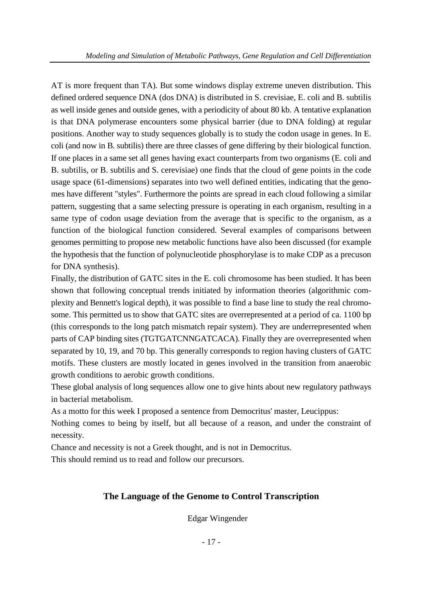AT is more frequent than TA). But some windows display extreme uneven distribution. This defined ordered sequence DNA (dos DNA) is distributed in S. crevisiae, E. coli and B. subtilis as well inside genes and outside genes, with a periodicity of about 80 kb. A tentative explanation is that DNA polymerase encounters some physical barrier (due to DNA folding) at regular positions. Another way to study sequences globally is to study the codon usage in genes. In E. coli (and now in B. subtilis) there are three classes of gene differing by their biological function. If one places in a same set all genes having exact counterparts from two organisms (E. coli and B. subtilis, or B. subtilis and S. cerevisiae) one finds that the cloud of gene points in the code usage space (61-dimensions) separates into two well defined entities, indicating that the genomes have different "styles". Furthermore the points are spread in each cloud following a similar pattern, suggesting that a same selecting pressure is operating in each organism, resulting in a same type of codon usage deviation from the average that is specific to the organism, as a function of the biological function considered. Several examples of comparisons between genomes permitting to propose new metabolic functions have also been discussed (for example the hypothesis that the function of polynucleotide phosphorylase is to make CDP as a precuson for DNA synthesis).

Finally, the distribution of GATC sites in the E. coli chromosome has been studied. It has been shown that following conceptual trends initiated by information theories (algorithmic complexity and Bennett's logical depth), it was possible to find a base line to study the real chromosome. This permitted us to show that GATC sites are overrepresented at a period of ca. 1100 bp (this corresponds to the long patch mismatch repair system). They are underrepresented when parts of CAP binding sites (TGTGATCNNGATCACA). Finally they are overrepresented when separated by 10, 19, and 70 bp. This generally corresponds to region having clusters of GATC motifs. These clusters are mostly located in genes involved in the transition from anaerobic growth conditions to aerobic growth conditions.

These global analysis of long sequences allow one to give hints about new regulatory pathways in bacterial metabolism.

As a motto for this week I proposed a sentence from Democritus' master, Leucippus:

Nothing comes to being by itself, but all because of a reason, and under the constraint of necessity.

Chance and necessity is not a Greek thought, and is not in Democritus.

This should remind us to read and follow our precursors.

# **The Language of the Genome to Control Transcription**

Edgar Wingender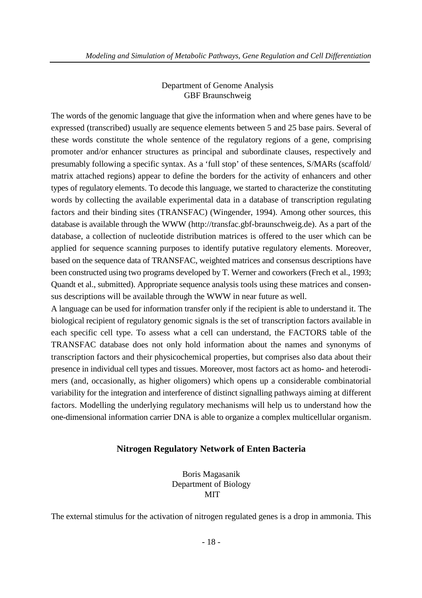#### Department of Genome Analysis GBF Braunschweig

The words of the genomic language that give the information when and where genes have to be expressed (transcribed) usually are sequence elements between 5 and 25 base pairs. Several of these words constitute the whole sentence of the regulatory regions of a gene, comprising promoter and/or enhancer structures as principal and subordinate clauses, respectively and presumably following a specific syntax. As a 'full stop' of these sentences, S/MARs (scaffold/ matrix attached regions) appear to define the borders for the activity of enhancers and other types of regulatory elements. To decode this language, we started to characterize the constituting words by collecting the available experimental data in a database of transcription regulating factors and their binding sites (TRANSFAC) (Wingender, 1994). Among other sources, this database is available through the WWW (http://transfac.gbf-braunschweig.de). As a part of the database, a collection of nucleotide distribution matrices is offered to the user which can be applied for sequence scanning purposes to identify putative regulatory elements. Moreover, based on the sequence data of TRANSFAC, weighted matrices and consensus descriptions have been constructed using two programs developed by T. Werner and coworkers (Frech et al., 1993; Quandt et al., submitted). Appropriate sequence analysis tools using these matrices and consensus descriptions will be available through the WWW in near future as well.

A language can be used for information transfer only if the recipient is able to understand it. The biological recipient of regulatory genomic signals is the set of transcription factors available in each specific cell type. To assess what a cell can understand, the FACTORS table of the TRANSFAC database does not only hold information about the names and synonyms of transcription factors and their physicochemical properties, but comprises also data about their presence in individual cell types and tissues. Moreover, most factors act as homo- and heterodimers (and, occasionally, as higher oligomers) which opens up a considerable combinatorial variability for the integration and interference of distinct signalling pathways aiming at different factors. Modelling the underlying regulatory mechanisms will help us to understand how the one-dimensional information carrier DNA is able to organize a complex multicellular organism.

#### **Nitrogen Regulatory Network of Enten Bacteria**

Boris Magasanik Department of Biology **MIT** 

The external stimulus for the activation of nitrogen regulated genes is a drop in ammonia. This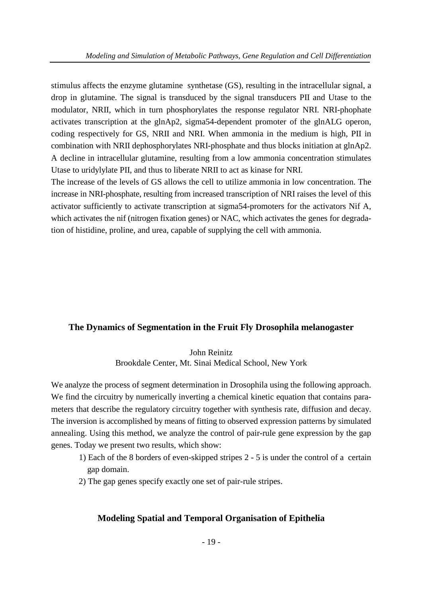stimulus affects the enzyme glutamine synthetase (GS), resulting in the intracellular signal, a drop in glutamine. The signal is transduced by the signal transducers PII and Utase to the modulator, NRII, which in turn phosphorylates the response regulator NRI. NRI-phophate activates transcription at the glnAp2, sigma54-dependent promoter of the glnALG operon, coding respectively for GS, NRII and NRI. When ammonia in the medium is high, PII in combination with NRII dephosphorylates NRI-phosphate and thus blocks initiation at glnAp2. A decline in intracellular glutamine, resulting from a low ammonia concentration stimulates Utase to uridylylate PII, and thus to liberate NRII to act as kinase for NRI.

The increase of the levels of GS allows the cell to utilize ammonia in low concentration. The increase in NRI-phosphate, resulting from increased transcription of NRI raises the level of this activator sufficiently to activate transcription at sigma54-promoters for the activators Nif A, which activates the nif (nitrogen fixation genes) or NAC, which activates the genes for degradation of histidine, proline, and urea, capable of supplying the cell with ammonia.

#### **The Dynamics of Segmentation in the Fruit Fly Drosophila melanogaster**

John Reinitz Brookdale Center, Mt. Sinai Medical School, New York

We analyze the process of segment determination in Drosophila using the following approach. We find the circuitry by numerically inverting a chemical kinetic equation that contains parameters that describe the regulatory circuitry together with synthesis rate, diffusion and decay. The inversion is accomplished by means of fitting to observed expression patterns by simulated annealing. Using this method, we analyze the control of pair-rule gene expression by the gap genes. Today we present two results, which show:

- 1) Each of the 8 borders of even-skipped stripes 2 5 is under the control of a certain gap domain.
- 2) The gap genes specify exactly one set of pair-rule stripes.

#### **Modeling Spatial and Temporal Organisation of Epithelia**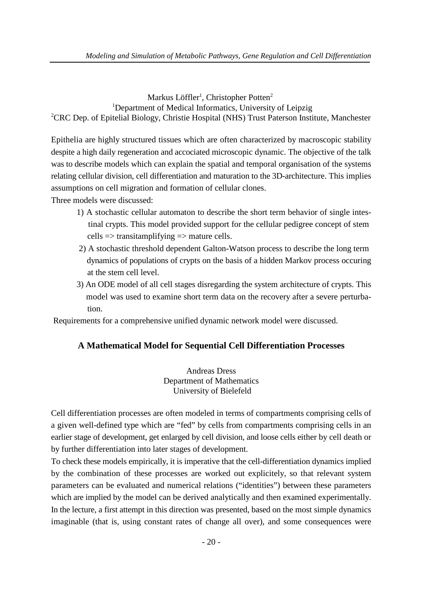Markus Löffler<sup>1</sup>, Christopher Potten<sup>2</sup> <sup>1</sup>Department of Medical Informatics, University of Leipzig <sup>2</sup>CRC Dep. of Epitelial Biology, Christie Hospital (NHS) Trust Paterson Institute, Manchester

Epithelia are highly structured tissues which are often characterized by macroscopic stability despite a high daily regeneration and accociated microscopic dynamic. The objective of the talk was to describe models which can explain the spatial and temporal organisation of the systems relating cellular division, cell differentiation and maturation to the 3D-architecture. This implies assumptions on cell migration and formation of cellular clones.

Three models were discussed:

- 1) A stochastic cellular automaton to describe the short term behavior of single intes tinal crypts. This model provided support for the cellular pedigree concept of stem  $cells \Rightarrow$  transitamplifying  $\Rightarrow$  mature cells.
- 2) A stochastic threshold dependent Galton-Watson process to describe the long term dynamics of populations of crypts on the basis of a hidden Markov process occuring at the stem cell level.
- 3) An ODE model of all cell stages disregarding the system architecture of crypts. This model was used to examine short term data on the recovery after a severe perturba tion.

Requirements for a comprehensive unified dynamic network model were discussed.

# **A Mathematical Model for Sequential Cell Differentiation Processes**

Andreas Dress Department of Mathematics University of Bielefeld

Cell differentiation processes are often modeled in terms of compartments comprising cells of a given well-defined type which are "fed" by cells from compartments comprising cells in an earlier stage of development, get enlarged by cell division, and loose cells either by cell death or by further differentiation into later stages of development.

To check these models empirically, it is imperative that the cell-differentiation dynamics implied by the combination of these processes are worked out explicitely, so that relevant system parameters can be evaluated and numerical relations ("identities") between these parameters which are implied by the model can be derived analytically and then examined experimentally. In the lecture, a first attempt in this direction was presented, based on the most simple dynamics imaginable (that is, using constant rates of change all over), and some consequences were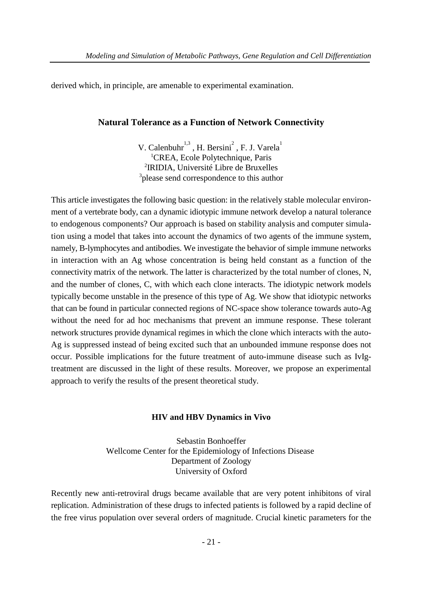derived which, in principle, are amenable to experimental examination.

#### **Natural Tolerance as a Function of Network Connectivity**

V. Calenbuhr<sup>1,3</sup>, H. Bersini<sup>2</sup>, F. J. Varela<sup>1</sup> <sup>1</sup>CREA, Ecole Polytechnique, Paris <sup>2</sup>IRIDIA, Université Libre de Bruxelles <sup>3</sup>please send correspondence to this author

This article investigates the following basic question: in the relatively stable molecular environment of a vertebrate body, can a dynamic idiotypic immune network develop a natural tolerance to endogenous components? Our approach is based on stability analysis and computer simulation using a model that takes into account the dynamics of two agents of the immune system, namely, B-lymphocytes and antibodies. We investigate the behavior of simple immune networks in interaction with an Ag whose concentration is being held constant as a function of the connectivity matrix of the network. The latter is characterized by the total number of clones, N, and the number of clones, C, with which each clone interacts. The idiotypic network models typically become unstable in the presence of this type of Ag. We show that idiotypic networks that can be found in particular connected regions of NC-space show tolerance towards auto-Ag without the need for ad hoc mechanisms that prevent an immune response. These tolerant network structures provide dynamical regimes in which the clone which interacts with the auto-Ag is suppressed instead of being excited such that an unbounded immune response does not occur. Possible implications for the future treatment of auto-immune disease such as IvIgtreatment are discussed in the light of these results. Moreover, we propose an experimental approach to verify the results of the present theoretical study.

#### **HIV and HBV Dynamics in Vivo**

Sebastin Bonhoeffer Wellcome Center for the Epidemiology of Infections Disease Department of Zoology University of Oxford

Recently new anti-retroviral drugs became available that are very potent inhibitons of viral replication. Administration of these drugs to infected patients is followed by a rapid decline of the free virus population over several orders of magnitude. Crucial kinetic parameters for the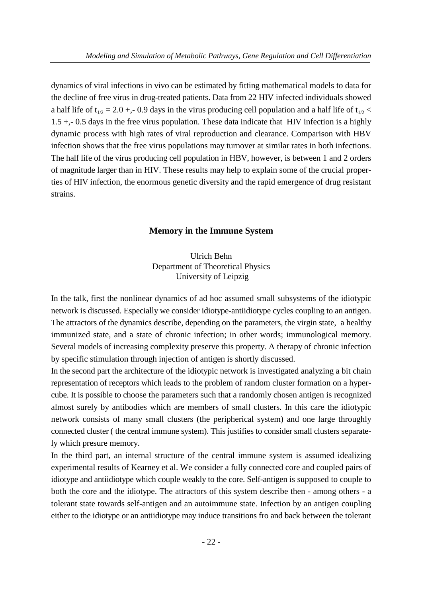dynamics of viral infections in vivo can be estimated by fitting mathematical models to data for the decline of free virus in drug-treated patients. Data from 22 HIV infected individuals showed a half life of  $t_{1/2} = 2.0 + -0.9$  days in the virus producing cell population and a half life of  $t_{1/2}$  <  $1.5 + -0.5$  days in the free virus population. These data indicate that HIV infection is a highly dynamic process with high rates of viral reproduction and clearance. Comparison with HBV infection shows that the free virus populations may turnover at similar rates in both infections. The half life of the virus producing cell population in HBV, however, is between 1 and 2 orders of magnitude larger than in HIV. These results may help to explain some of the crucial properties of HIV infection, the enormous genetic diversity and the rapid emergence of drug resistant strains.

#### **Memory in the Immune System**

Ulrich Behn Department of Theoretical Physics University of Leipzig

In the talk, first the nonlinear dynamics of ad hoc assumed small subsystems of the idiotypic network is discussed. Especially we consider idiotype-antiidiotype cycles coupling to an antigen. The attractors of the dynamics describe, depending on the parameters, the virgin state, a healthy immunized state, and a state of chronic infection; in other words; immunological memory. Several models of increasing complexity preserve this property. A therapy of chronic infection by specific stimulation through injection of antigen is shortly discussed.

In the second part the architecture of the idiotypic network is investigated analyzing a bit chain representation of receptors which leads to the problem of random cluster formation on a hypercube. It is possible to choose the parameters such that a randomly chosen antigen is recognized almost surely by antibodies which are members of small clusters. In this care the idiotypic network consists of many small clusters (the peripherical system) and one large throughly connected cluster ( the central immune system). This justifies to consider small clusters separately which presure memory.

In the third part, an internal structure of the central immune system is assumed idealizing experimental results of Kearney et al. We consider a fully connected core and coupled pairs of idiotype and antiidiotype which couple weakly to the core. Self-antigen is supposed to couple to both the core and the idiotype. The attractors of this system describe then - among others - a tolerant state towards self-antigen and an autoimmune state. Infection by an antigen coupling either to the idiotype or an antiidiotype may induce transitions fro and back between the tolerant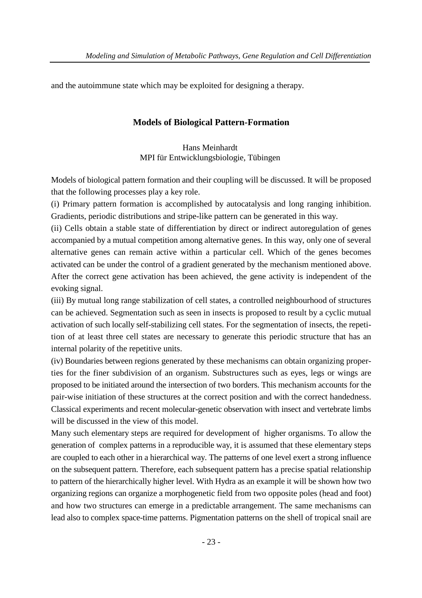and the autoimmune state which may be exploited for designing a therapy.

## **Models of Biological Pattern-Formation**

#### Hans Meinhardt MPI für Entwicklungsbiologie, Tübingen

Models of biological pattern formation and their coupling will be discussed. It will be proposed that the following processes play a key role.

(i) Primary pattern formation is accomplished by autocatalysis and long ranging inhibition. Gradients, periodic distributions and stripe-like pattern can be generated in this way.

(ii) Cells obtain a stable state of differentiation by direct or indirect autoregulation of genes accompanied by a mutual competition among alternative genes. In this way, only one of several alternative genes can remain active within a particular cell. Which of the genes becomes activated can be under the control of a gradient generated by the mechanism mentioned above. After the correct gene activation has been achieved, the gene activity is independent of the evoking signal.

(iii) By mutual long range stabilization of cell states, a controlled neighbourhood of structures can be achieved. Segmentation such as seen in insects is proposed to result by a cyclic mutual activation of such locally self-stabilizing cell states. For the segmentation of insects, the repetition of at least three cell states are necessary to generate this periodic structure that has an internal polarity of the repetitive units.

(iv) Boundaries between regions generated by these mechanisms can obtain organizing properties for the finer subdivision of an organism. Substructures such as eyes, legs or wings are proposed to be initiated around the intersection of two borders. This mechanism accounts for the pair-wise initiation of these structures at the correct position and with the correct handedness. Classical experiments and recent molecular-genetic observation with insect and vertebrate limbs will be discussed in the view of this model.

Many such elementary steps are required for development of higher organisms. To allow the generation of complex patterns in a reproducible way, it is assumed that these elementary steps are coupled to each other in a hierarchical way. The patterns of one level exert a strong influence on the subsequent pattern. Therefore, each subsequent pattern has a precise spatial relationship to pattern of the hierarchically higher level. With Hydra as an example it will be shown how two organizing regions can organize a morphogenetic field from two opposite poles (head and foot) and how two structures can emerge in a predictable arrangement. The same mechanisms can lead also to complex space-time patterns. Pigmentation patterns on the shell of tropical snail are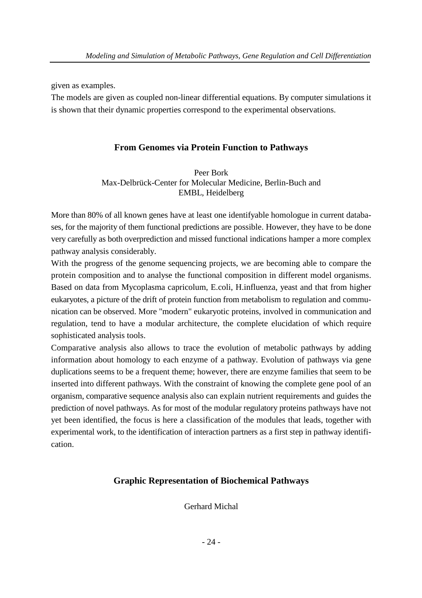given as examples.

The models are given as coupled non-linear differential equations. By computer simulations it is shown that their dynamic properties correspond to the experimental observations.

# **From Genomes via Protein Function to Pathways**

Peer Bork Max-Delbrück-Center for Molecular Medicine, Berlin-Buch and EMBL, Heidelberg

More than 80% of all known genes have at least one identifyable homologue in current databases, for the majority of them functional predictions are possible. However, they have to be done very carefully as both overprediction and missed functional indications hamper a more complex pathway analysis considerably.

With the progress of the genome sequencing projects, we are becoming able to compare the protein composition and to analyse the functional composition in different model organisms. Based on data from Mycoplasma capricolum, E.coli, H.influenza, yeast and that from higher eukaryotes, a picture of the drift of protein function from metabolism to regulation and communication can be observed. More "modern" eukaryotic proteins, involved in communication and regulation, tend to have a modular architecture, the complete elucidation of which require sophisticated analysis tools.

Comparative analysis also allows to trace the evolution of metabolic pathways by adding information about homology to each enzyme of a pathway. Evolution of pathways via gene duplications seems to be a frequent theme; however, there are enzyme families that seem to be inserted into different pathways. With the constraint of knowing the complete gene pool of an organism, comparative sequence analysis also can explain nutrient requirements and guides the prediction of novel pathways. As for most of the modular regulatory proteins pathways have not yet been identified, the focus is here a classification of the modules that leads, together with experimental work, to the identification of interaction partners as a first step in pathway identification.

# **Graphic Representation of Biochemical Pathways**

Gerhard Michal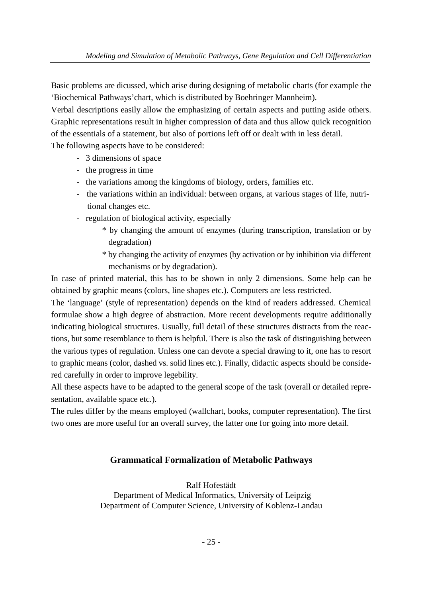Basic problems are dicussed, which arise during designing of metabolic charts (for example the 'Biochemical Pathways'chart, which is distributed by Boehringer Mannheim).

Verbal descriptions easily allow the emphasizing of certain aspects and putting aside others. Graphic representations result in higher compression of data and thus allow quick recognition of the essentials of a statement, but also of portions left off or dealt with in less detail.

The following aspects have to be considered:

- 3 dimensions of space
- the progress in time
- the variations among the kingdoms of biology, orders, families etc.
- the variations within an individual: between organs, at various stages of life, nutri tional changes etc.
- regulation of biological activity, especially
	- \* by changing the amount of enzymes (during transcription, translation or by degradation)
	- \* by changing the activity of enzymes (by activation or by inhibition via different mechanisms or by degradation).

In case of printed material, this has to be shown in only 2 dimensions. Some help can be obtained by graphic means (colors, line shapes etc.). Computers are less restricted.

The 'language' (style of representation) depends on the kind of readers addressed. Chemical formulae show a high degree of abstraction. More recent developments require additionally indicating biological structures. Usually, full detail of these structures distracts from the reactions, but some resemblance to them is helpful. There is also the task of distinguishing between the various types of regulation. Unless one can devote a special drawing to it, one has to resort to graphic means (color, dashed vs. solid lines etc.). Finally, didactic aspects should be considered carefully in order to improve legebility.

All these aspects have to be adapted to the general scope of the task (overall or detailed representation, available space etc.).

The rules differ by the means employed (wallchart, books, computer representation). The first two ones are more useful for an overall survey, the latter one for going into more detail.

#### **Grammatical Formalization of Metabolic Pathways**

Ralf Hofestädt

Department of Medical Informatics, University of Leipzig Department of Computer Science, University of Koblenz-Landau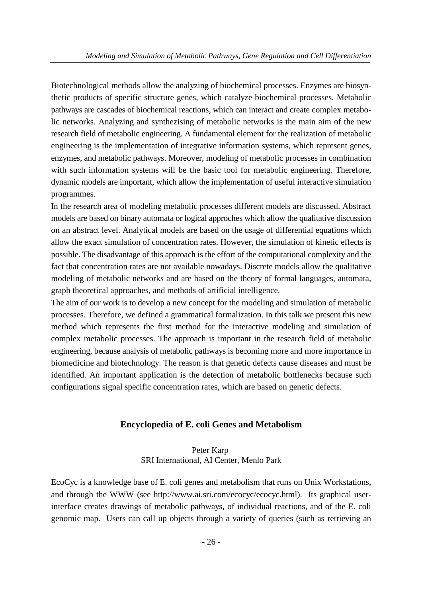Biotechnological methods allow the analyzing of biochemical processes. Enzymes are biosynthetic products of specific structure genes, which catalyze biochemical processes. Metabolic pathways are cascades of biochemical reactions, which can interact and create complex metabolic networks. Analyzing and synthezising of metabolic networks is the main aim of the new research field of metabolic engineering. A fundamental element for the realization of metabolic engineering is the implementation of integrative information systems, which represent genes, enzymes, and metabolic pathways. Moreover, modeling of metabolic processes in combination with such information systems will be the basic tool for metabolic engineering. Therefore, dynamic models are important, which allow the implementation of useful interactive simulation programmes.

In the research area of modeling metabolic processes different models are discussed. Abstract models are based on binary automata or logical approches which allow the qualitative discussion on an abstract level. Analytical models are based on the usage of differential equations which allow the exact simulation of concentration rates. However, the simulation of kinetic effects is possible. The disadvantage of this approach is the effort of the computational complexity and the fact that concentration rates are not available nowadays. Discrete models allow the qualitative modeling of metabolic networks and are based on the theory of formal languages, automata, graph theoretical approaches, and methods of artificial intelligence.

The aim of our work is to develop a new concept for the modeling and simulation of metabolic processes. Therefore, we defined a grammatical formalization. In this talk we present this new method which represents the first method for the interactive modeling and simulation of complex metabolic processes. The approach is important in the research field of metabolic engineering, because analysis of metabolic pathways is becoming more and more importance in biomedicine and biotechnology. The reason is that genetic defects cause diseases and must be identified. An important application is the detection of metabolic bottlenecks because such configurations signal specific concentration rates, which are based on genetic defects.

#### **Encyclopedia of E. coli Genes and Metabolism**

#### Peter Karp SRI International, AI Center, Menlo Park

EcoCyc is a knowledge base of E. coli genes and metabolism that runs on Unix Workstations, and through the WWW (see http://www.ai.sri.com/ecocyc/ecocyc.html). Its graphical userinterface creates drawings of metabolic pathways, of individual reactions, and of the E. coli genomic map. Users can call up objects through a variety of queries (such as retrieving an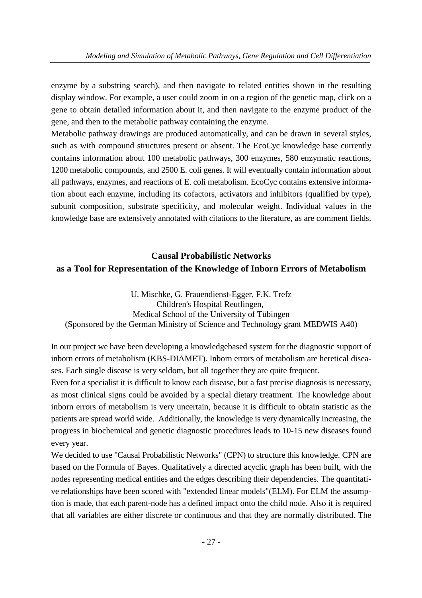enzyme by a substring search), and then navigate to related entities shown in the resulting display window. For example, a user could zoom in on a region of the genetic map, click on a gene to obtain detailed information about it, and then navigate to the enzyme product of the gene, and then to the metabolic pathway containing the enzyme.

Metabolic pathway drawings are produced automatically, and can be drawn in several styles, such as with compound structures present or absent. The EcoCyc knowledge base currently contains information about 100 metabolic pathways, 300 enzymes, 580 enzymatic reactions, 1200 metabolic compounds, and 2500 E. coli genes. It will eventually contain information about all pathways, enzymes, and reactions of E. coli metabolism. EcoCyc contains extensive information about each enzyme, including its cofactors, activators and inhibitors (qualified by type), subunit composition, substrate specificity, and molecular weight. Individual values in the knowledge base are extensively annotated with citations to the literature, as are comment fields.

# **Causal Probabilistic Networks as a Tool for Representation of the Knowledge of Inborn Errors of Metabolism**

U. Mischke, G. Frauendienst-Egger, F.K. Trefz Children's Hospital Reutlingen, Medical School of the University of Tübingen (Sponsored by the German Ministry of Science and Technology grant MEDWIS A40)

In our project we have been developing a knowledgebased system for the diagnostic support of inborn errors of metabolism (KBS-DIAMET). Inborn errors of metabolism are heretical diseases. Each single disease is very seldom, but all together they are quite frequent.

Even for a specialist it is difficult to know each disease, but a fast precise diagnosis is necessary, as most clinical signs could be avoided by a special dietary treatment. The knowledge about inborn errors of metabolism is very uncertain, because it is difficult to obtain statistic as the patients are spread world wide. Additionally, the knowledge is very dynamically increasing, the progress in biochemical and genetic diagnostic procedures leads to 10-15 new diseases found every year.

We decided to use "Causal Probabilistic Networks" (CPN) to structure this knowledge. CPN are based on the Formula of Bayes. Qualitatively a directed acyclic graph has been built, with the nodes representing medical entities and the edges describing their dependencies. The quantitative relationships have been scored with "extended linear models"(ELM). For ELM the assumption is made, that each parent-node has a defined impact onto the child node. Also it is required that all variables are either discrete or continuous and that they are normally distributed. The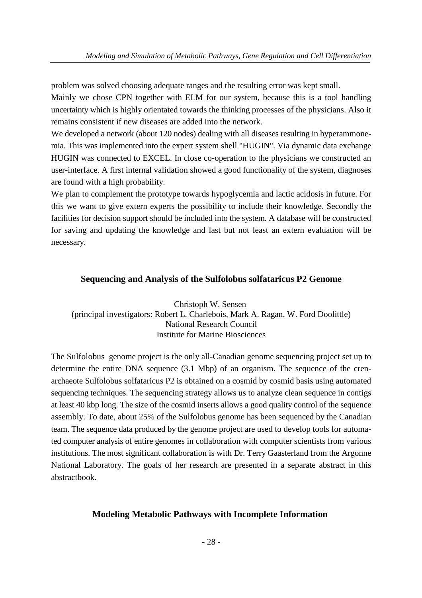problem was solved choosing adequate ranges and the resulting error was kept small.

Mainly we chose CPN together with ELM for our system, because this is a tool handling uncertainty which is highly orientated towards the thinking processes of the physicians. Also it remains consistent if new diseases are added into the network.

We developed a network (about 120 nodes) dealing with all diseases resulting in hyperammonemia. This was implemented into the expert system shell "HUGIN". Via dynamic data exchange HUGIN was connected to EXCEL. In close co-operation to the physicians we constructed an user-interface. A first internal validation showed a good functionality of the system, diagnoses are found with a high probability.

We plan to complement the prototype towards hypoglycemia and lactic acidosis in future. For this we want to give extern experts the possibility to include their knowledge. Secondly the facilities for decision support should be included into the system. A database will be constructed for saving and updating the knowledge and last but not least an extern evaluation will be necessary.

## **Sequencing and Analysis of the Sulfolobus solfataricus P2 Genome**

Christoph W. Sensen (principal investigators: Robert L. Charlebois, Mark A. Ragan, W. Ford Doolittle) National Research Council Institute for Marine Biosciences

The Sulfolobus genome project is the only all-Canadian genome sequencing project set up to determine the entire DNA sequence (3.1 Mbp) of an organism. The sequence of the crenarchaeote Sulfolobus solfataricus P2 is obtained on a cosmid by cosmid basis using automated sequencing techniques. The sequencing strategy allows us to analyze clean sequence in contigs at least 40 kbp long. The size of the cosmid inserts allows a good quality control of the sequence assembly. To date, about 25% of the Sulfolobus genome has been sequenced by the Canadian team. The sequence data produced by the genome project are used to develop tools for automated computer analysis of entire genomes in collaboration with computer scientists from various institutions. The most significant collaboration is with Dr. Terry Gaasterland from the Argonne National Laboratory. The goals of her research are presented in a separate abstract in this abstractbook.

#### **Modeling Metabolic Pathways with Incomplete Information**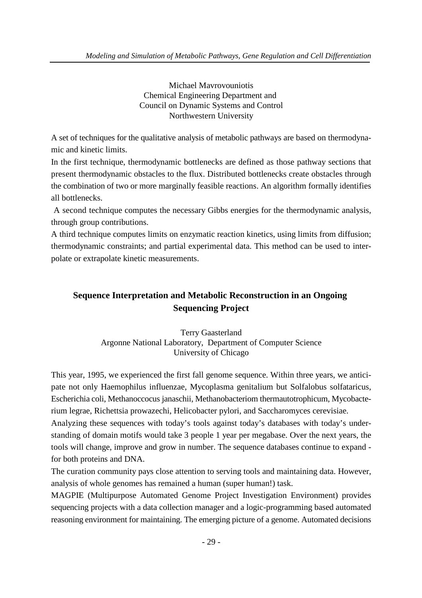Michael Mavrovouniotis Chemical Engineering Department and Council on Dynamic Systems and Control Northwestern University

A set of techniques for the qualitative analysis of metabolic pathways are based on thermodynamic and kinetic limits.

In the first technique, thermodynamic bottlenecks are defined as those pathway sections that present thermodynamic obstacles to the flux. Distributed bottlenecks create obstacles through the combination of two or more marginally feasible reactions. An algorithm formally identifies all bottlenecks.

A second technique computes the necessary Gibbs energies for the thermodynamic analysis, through group contributions.

A third technique computes limits on enzymatic reaction kinetics, using limits from diffusion; thermodynamic constraints; and partial experimental data. This method can be used to interpolate or extrapolate kinetic measurements.

# **Sequence Interpretation and Metabolic Reconstruction in an Ongoing Sequencing Project**

Terry Gaasterland Argonne National Laboratory, Department of Computer Science University of Chicago

This year, 1995, we experienced the first fall genome sequence. Within three years, we anticipate not only Haemophilus influenzae, Mycoplasma genitalium but Solfalobus solfataricus, Escherichia coli, Methanoccocus janaschii, Methanobacteriom thermautotrophicum, Mycobacterium legrae, Richettsia prowazechi, Helicobacter pylori, and Saccharomyces cerevisiae.

Analyzing these sequences with today's tools against today's databases with today's understanding of domain motifs would take 3 people 1 year per megabase. Over the next years, the tools will change, improve and grow in number. The sequence databases continue to expand for both proteins and DNA.

The curation community pays close attention to serving tools and maintaining data. However, analysis of whole genomes has remained a human (super human!) task.

MAGPIE (Multipurpose Automated Genome Project Investigation Environment) provides sequencing projects with a data collection manager and a logic-programming based automated reasoning environment for maintaining. The emerging picture of a genome. Automated decisions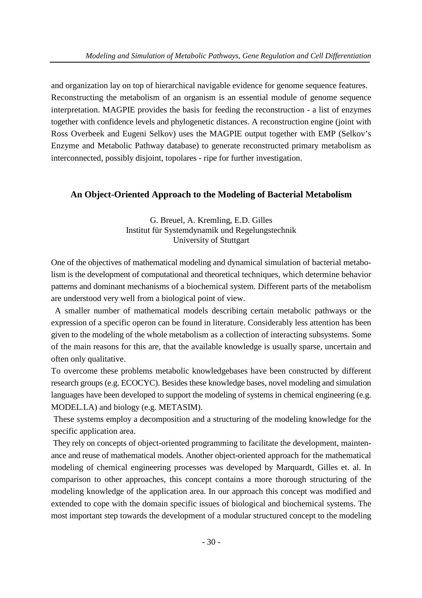and organization lay on top of hierarchical navigable evidence for genome sequence features. Reconstructing the metabolism of an organism is an essential module of genome sequence interpretation. MAGPIE provides the basis for feeding the reconstruction - a list of enzymes together with confidence levels and phylogenetic distances. A reconstruction engine (joint with Ross Overbeek and Eugeni Selkov) uses the MAGPIE output together with EMP (Selkov's Enzyme and Metabolic Pathway database) to generate reconstructed primary metabolism as interconnected, possibly disjoint, topolares - ripe for further investigation.

## **An Object-Oriented Approach to the Modeling of Bacterial Metabolism**

G. Breuel, A. Kremling, E.D. Gilles Institut für Systemdynamik und Regelungstechnik University of Stuttgart

One of the objectives of mathematical modeling and dynamical simulation of bacterial metabolism is the development of computational and theoretical techniques, which determine behavior patterns and dominant mechanisms of a biochemical system. Different parts of the metabolism are understood very well from a biological point of view.

A smaller number of mathematical models describing certain metabolic pathways or the expression of a specific operon can be found in literature. Considerably less attention has been given to the modeling of the whole metabolism as a collection of interacting subsystems. Some of the main reasons for this are, that the available knowledge is usually sparse, uncertain and often only qualitative.

To overcome these problems metabolic knowledgebases have been constructed by different research groups (e.g. ECOCYC). Besides these knowledge bases, novel modeling and simulation languages have been developed to support the modeling of systems in chemical engineering (e.g. MODEL.LA) and biology (e.g. METASIM).

These systems employ a decomposition and a structuring of the modeling knowledge for the specific application area.

They rely on concepts of object-oriented programming to facilitate the development, maintenance and reuse of mathematical models. Another object-oriented approach for the mathematical modeling of chemical engineering processes was developed by Marquardt, Gilles et. al. In comparison to other approaches, this concept contains a more thorough structuring of the modeling knowledge of the application area. In our approach this concept was modified and extended to cope with the domain specific issues of biological and biochemical systems. The most important step towards the development of a modular structured concept to the modeling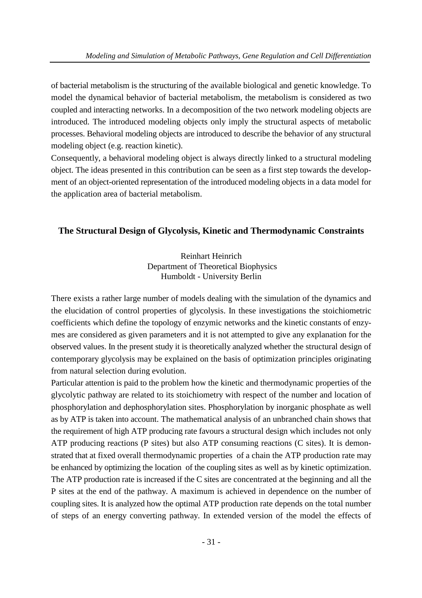of bacterial metabolism is the structuring of the available biological and genetic knowledge. To model the dynamical behavior of bacterial metabolism, the metabolism is considered as two coupled and interacting networks. In a decomposition of the two network modeling objects are introduced. The introduced modeling objects only imply the structural aspects of metabolic processes. Behavioral modeling objects are introduced to describe the behavior of any structural modeling object (e.g. reaction kinetic).

Consequently, a behavioral modeling object is always directly linked to a structural modeling object. The ideas presented in this contribution can be seen as a first step towards the development of an object-oriented representation of the introduced modeling objects in a data model for the application area of bacterial metabolism.

#### **The Structural Design of Glycolysis, Kinetic and Thermodynamic Constraints**

Reinhart Heinrich Department of Theoretical Biophysics Humboldt - University Berlin

There exists a rather large number of models dealing with the simulation of the dynamics and the elucidation of control properties of glycolysis. In these investigations the stoichiometric coefficients which define the topology of enzymic networks and the kinetic constants of enzymes are considered as given parameters and it is not attempted to give any explanation for the observed values. In the present study it is theoretically analyzed whether the structural design of contemporary glycolysis may be explained on the basis of optimization principles originating from natural selection during evolution.

Particular attention is paid to the problem how the kinetic and thermodynamic properties of the glycolytic pathway are related to its stoichiometry with respect of the number and location of phosphorylation and dephosphorylation sites. Phosphorylation by inorganic phosphate as well as by ATP is taken into account. The mathematical analysis of an unbranched chain shows that the requirement of high ATP producing rate favours a structural design which includes not only ATP producing reactions (P sites) but also ATP consuming reactions (C sites). It is demonstrated that at fixed overall thermodynamic properties of a chain the ATP production rate may be enhanced by optimizing the location of the coupling sites as well as by kinetic optimization. The ATP production rate is increased if the C sites are concentrated at the beginning and all the P sites at the end of the pathway. A maximum is achieved in dependence on the number of coupling sites. It is analyzed how the optimal ATP production rate depends on the total number of steps of an energy converting pathway. In extended version of the model the effects of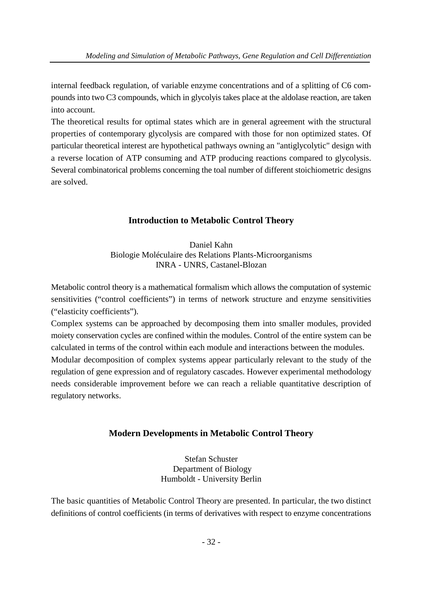internal feedback regulation, of variable enzyme concentrations and of a splitting of C6 compounds into two C3 compounds, which in glycolyis takes place at the aldolase reaction, are taken into account.

The theoretical results for optimal states which are in general agreement with the structural properties of contemporary glycolysis are compared with those for non optimized states. Of particular theoretical interest are hypothetical pathways owning an "antiglycolytic" design with a reverse location of ATP consuming and ATP producing reactions compared to glycolysis. Several combinatorical problems concerning the toal number of different stoichiometric designs are solved.

# **Introduction to Metabolic Control Theory**

Daniel Kahn Biologie Moléculaire des Relations Plants-Microorganisms INRA - UNRS, Castanel-Blozan

Metabolic control theory is a mathematical formalism which allows the computation of systemic sensitivities ("control coefficients") in terms of network structure and enzyme sensitivities ("elasticity coefficients").

Complex systems can be approached by decomposing them into smaller modules, provided moiety conservation cycles are confined within the modules. Control of the entire system can be calculated in terms of the control within each module and interactions between the modules.

Modular decomposition of complex systems appear particularly relevant to the study of the regulation of gene expression and of regulatory cascades. However experimental methodology needs considerable improvement before we can reach a reliable quantitative description of regulatory networks.

# **Modern Developments in Metabolic Control Theory**

Stefan Schuster Department of Biology Humboldt - University Berlin

The basic quantities of Metabolic Control Theory are presented. In particular, the two distinct definitions of control coefficients (in terms of derivatives with respect to enzyme concentrations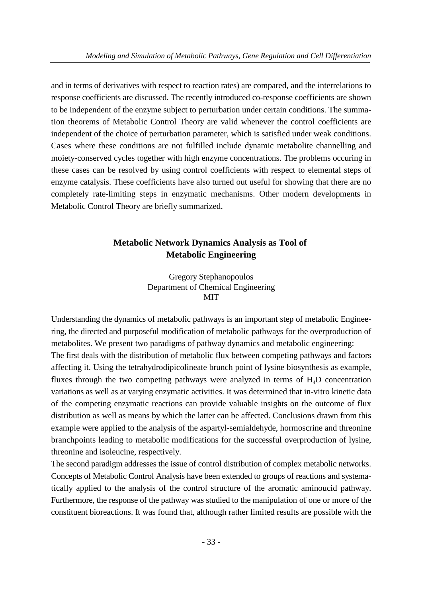and in terms of derivatives with respect to reaction rates) are compared, and the interrelations to response coefficients are discussed. The recently introduced co-response coefficients are shown to be independent of the enzyme subject to perturbation under certain conditions. The summation theorems of Metabolic Control Theory are valid whenever the control coefficients are independent of the choice of perturbation parameter, which is satisfied under weak conditions. Cases where these conditions are not fulfilled include dynamic metabolite channelling and moiety-conserved cycles together with high enzyme concentrations. The problems occuring in these cases can be resolved by using control coefficients with respect to elemental steps of enzyme catalysis. These coefficients have also turned out useful for showing that there are no completely rate-limiting steps in enzymatic mechanisms. Other modern developments in Metabolic Control Theory are briefly summarized.

# **Metabolic Network Dynamics Analysis as Tool of Metabolic Engineering**

Gregory Stephanopoulos Department of Chemical Engineering **MIT** 

Understanding the dynamics of metabolic pathways is an important step of metabolic Engineering, the directed and purposeful modification of metabolic pathways for the overproduction of metabolites. We present two paradigms of pathway dynamics and metabolic engineering: The first deals with the distribution of metabolic flux between competing pathways and factors affecting it. Using the tetrahydrodipicolineate brunch point of lysine biosynthesis as example, fluxes through the two competing pathways were analyzed in terms of  $H<sub>a</sub>D$  concentration variations as well as at varying enzymatic activities. It was determined that in-vitro kinetic data of the competing enzymatic reactions can provide valuable insights on the outcome of flux distribution as well as means by which the latter can be affected. Conclusions drawn from this example were applied to the analysis of the aspartyl-semialdehyde, hormoscrine and threonine branchpoints leading to metabolic modifications for the successful overproduction of lysine, threonine and isoleucine, respectively.

The second paradigm addresses the issue of control distribution of complex metabolic networks. Concepts of Metabolic Control Analysis have been extended to groups of reactions and systematically applied to the analysis of the control structure of the aromatic aminoucid pathway. Furthermore, the response of the pathway was studied to the manipulation of one or more of the constituent bioreactions. It was found that, although rather limited results are possible with the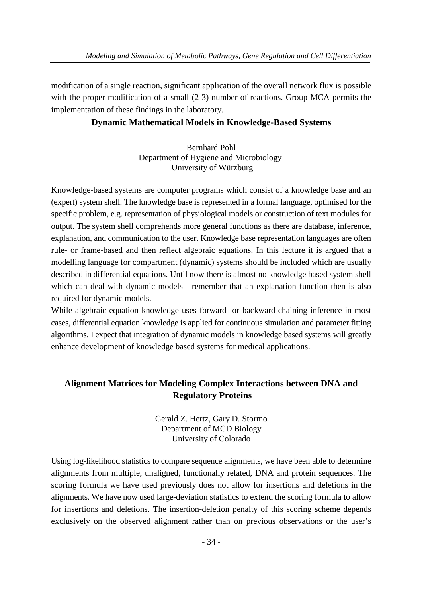modification of a single reaction, significant application of the overall network flux is possible with the proper modification of a small (2-3) number of reactions. Group MCA permits the implementation of these findings in the laboratory.

### **Dynamic Mathematical Models in Knowledge-Based Systems**

Bernhard Pohl Department of Hygiene and Microbiology University of Würzburg

Knowledge-based systems are computer programs which consist of a knowledge base and an (expert) system shell. The knowledge base is represented in a formal language, optimised for the specific problem, e.g. representation of physiological models or construction of text modules for output. The system shell comprehends more general functions as there are database, inference, explanation, and communication to the user. Knowledge base representation languages are often rule- or frame-based and then reflect algebraic equations. In this lecture it is argued that a modelling language for compartment (dynamic) systems should be included which are usually described in differential equations. Until now there is almost no knowledge based system shell which can deal with dynamic models - remember that an explanation function then is also required for dynamic models.

While algebraic equation knowledge uses forward- or backward-chaining inference in most cases, differential equation knowledge is applied for continuous simulation and parameter fitting algorithms. I expect that integration of dynamic models in knowledge based systems will greatly enhance development of knowledge based systems for medical applications.

# **Alignment Matrices for Modeling Complex Interactions between DNA and Regulatory Proteins**

Gerald Z. Hertz, Gary D. Stormo Department of MCD Biology University of Colorado

Using log-likelihood statistics to compare sequence alignments, we have been able to determine alignments from multiple, unaligned, functionally related, DNA and protein sequences. The scoring formula we have used previously does not allow for insertions and deletions in the alignments. We have now used large-deviation statistics to extend the scoring formula to allow for insertions and deletions. The insertion-deletion penalty of this scoring scheme depends exclusively on the observed alignment rather than on previous observations or the user's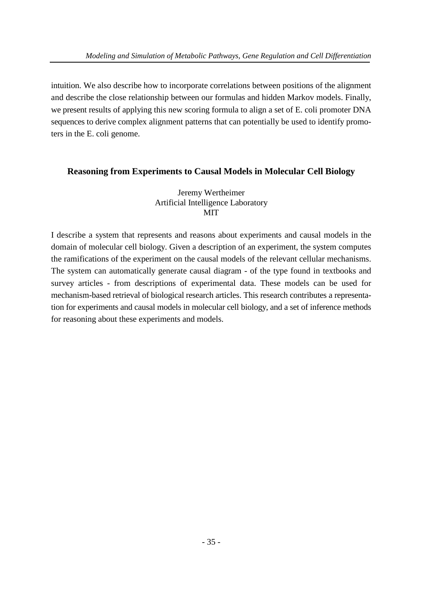intuition. We also describe how to incorporate correlations between positions of the alignment and describe the close relationship between our formulas and hidden Markov models. Finally, we present results of applying this new scoring formula to align a set of E. coli promoter DNA sequences to derive complex alignment patterns that can potentially be used to identify promoters in the E. coli genome.

# **Reasoning from Experiments to Causal Models in Molecular Cell Biology**

Jeremy Wertheimer Artificial Intelligence Laboratory MIT

I describe a system that represents and reasons about experiments and causal models in the domain of molecular cell biology. Given a description of an experiment, the system computes the ramifications of the experiment on the causal models of the relevant cellular mechanisms. The system can automatically generate causal diagram - of the type found in textbooks and survey articles - from descriptions of experimental data. These models can be used for mechanism-based retrieval of biological research articles. This research contributes a representation for experiments and causal models in molecular cell biology, and a set of inference methods for reasoning about these experiments and models.